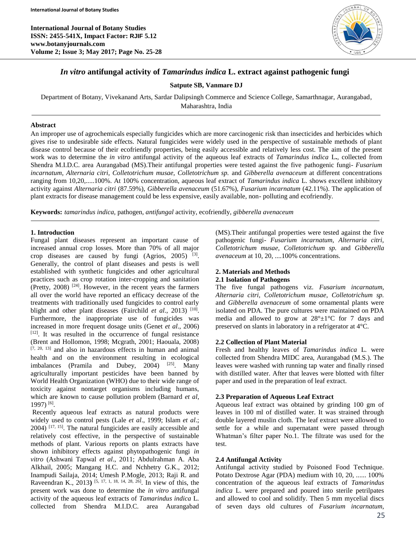**International Journal of Botany Studies ISSN: 2455-541X, Impact Factor: RJIF 5.12 www.botanyjournals.com Volume 2; Issue 3; May 2017; Page No. 25-28**



## *In vitro* **antifungal activity of** *Tamarindus indica* **L. extract against pathogenic fungi**

## **Satpute SB, Vanmare DJ**

Department of Botany, Vivekanand Arts, Sardar Dalipsingh Commerce and Science College, Samarthnagar, Aurangabad,

Maharashtra, India

### **Abstract**

An improper use of agrochemicals especially fungicides which are more carcinogenic risk than insecticides and herbicides which gives rise to undesirable side effects. Natural fungicides were widely used in the perspective of sustainable methods of plant disease control because of their ecofriendly properties, being easily accessible and relatively less cost. The aim of the present work was to determine the *in vitro* antifungal activity of the aqueous leaf extracts of *Tamarindus indica* L**.***,* collected from Shendra M.I.D.C. area Aurangabad (MS).Their antifungal properties were tested against the five pathogenic fungi- *Fusarium*  incarnatum, Alternaria citri, Colletotrichum musae, Colletotrichum sp. and Gibberella avenaceum at different concentrations ranging from 10,20,.....100%. At 100% concentration, aqueous leaf extract of *Tamarindus indica* L. shows excellent inhibitory activity against *Alternaria citri* (87.59%), *Gibberella avenaceum* (51.67%), *Fusarium incarnatum* (42.11%). The application of plant extracts for disease management could be less expensive, easily available, non- polluting and ecofriendly.

**Keywords:** *tamarindus indica,* pathogen, *antifungal* activity, ecofriendly, *gibberella avenaceum*

#### **1. Introduction**

Fungal plant diseases represent an important cause of increased annual crop losses. More than 70% of all major crop diseases are caused by fungi  $(Agrios, 2005)$ <sup>[3]</sup>. Generally, the control of plant diseases and pests is well established with synthetic fungicides and other agricultural practices such as crop rotation inter-cropping and sanitation (Pretty,  $2008$ ) <sup>[24]</sup>. However, in the recent years the farmers all over the world have reported an efficacy decrease of the treatments with traditionally used fungicides to control early blight and other plant diseases (Fairchild *et al.*, 2013)<sup>[10]</sup>. Furthermore, the inappropriate use of fungicides was increased in more frequent dosage units (Genet *et al*., 2006) [12] . It was resulted in the occurrence of fungal resistance (Brent and Hollomon, 1998; Mcgrath, 2001; Haouala, 2008) [7, 20, 13] and also in hazardous effects in human and animal health and on the environment resulting in ecological imbalances (Pramila and Dubey, 2004)  $[25]$ . Many agriculturally important pesticides have been banned by World Health Organization (WHO) due to their wide range of toxicity against nontarget organisms including humans, which are known to cause pollution problem (Barnard *et al*, 1997) [6] .

Recently aqueous leaf extracts as natural products were widely used to control pests (Lale *et al*., 1999; Islam *et al*.;  $2004$ )  $[17, 15]$ . The natural fungicides are easily accessible and relatively cost effective, in the perspective of sustainable methods of plant. Various reports on plants extracts have shown inhibitory effects against phytopathogenic fungi *in vitro* (Ashwani Tapwal *et al*., 2011; Abdulrahman A. Aba Alkhail, 2005; Mangang H.C. and Nchhetry G.K., 2012; Inampudi Sailaja, 2014; Umesh P.Mogle, 2013; Raji R. and Raveendran K., 2013**)** [5, 17, 1, 18, 14, 28, 26] . In view of this, the present work was done to determine the *in vitro* antifungal activity of the aqueous leaf extracts of *Tamarindus indica* L*.* collected from Shendra M.I.D.C. area Aurangabad

(MS).Their antifungal properties were tested against the five pathogenic fungi- *Fusarium incarnatum, Alternaria citri, Colletotrichum musae, Colletotrichum sp.* and *Gibberella avenaceum* at 10, 20, ....100% concentrations.

#### **2. Materials and Methods 2.1 Isolation of Pathogens**

The five fungal pathogens viz. *Fusarium incarnatum, Alternaria citri, Colletotrichum musae, Colletotrichum sp.*  and *Gibberella avenaceum* of some ornamental plants were isolated on PDA. The pure cultures were maintained on PDA media and allowed to grow at  $28^{\circ} \pm 1^{\circ}$ C for 7 days and preserved on slants in laboratory in a refrigerator at 4°C.

### **2.2 Collection of Plant Material**

Fresh and healthy leaves of *Tamarindus indica* L*.* were collected from Shendra MIDC area, Aurangabad (M.S.). The leaves were washed with running tap water and finally rinsed with distilled water. After that leaves were blotted with filter paper and used in the preparation of leaf extract.

### **2.3 Preparation of Aqueous Leaf Extract**

Aqueous leaf extract was obtained by grinding 100 gm of leaves in 100 ml of distilled water. It was strained through double layered muslin cloth. The leaf extract were allowed to settle for a while and supernatant were passed through Whatman's filter paper No.1. The filtrate was used for the test.

### **2.4 Antifungal Activity**

Antifungal activity studied by Poisoned Food Technique. Potato Dextrose Agar (PDA) medium with 10, 20, ...... 100% concentration of the aqueous leaf extracts of *Tamarindus indica* L. were prepared and poured into sterile petrilpates and allowed to cool and solidify. Then 5 mm mycelial discs of seven days old cultures of *Fusarium incarnatum,*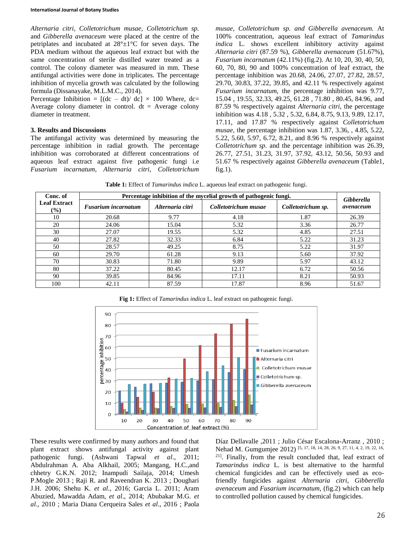*Alternaria citri, Colletotrichum musae, Colletotrichum sp.*  and *Gibberella avenaceum* were placed at the centre of the petriplates and incubated at  $28^{\circ} \pm 1^{\circ}$ C for seven days. The PDA medium without the aqueous leaf extract but with the same concentration of sterile distilled water treated as a control. The colony diameter was measured in mm. These antifungal activities were done in triplicates. The percentage inhibition of mycelia growth was calculated by the following formula (Dissanayake, M.L.M.C., 2014).

Percentage Inhibition =  $[(dc - dt)/dc] \times 100$  Where, dc= Average colony diameter in control.  $dt =$  Average colony diameter in treatment.

#### **3. Results and Discussions**

The antifungal activity was determined by measuring the percentage inhibition in radial growth. The percentage inhibition was corroborated at different concentrations of aqueous leaf extract against five pathogenic fungi i.e *Fusarium incarnatum, Alternaria citri, Colletotrichum* 

*musae, Colletotrichum sp. and Gibberella avenaceum.* At 100% concentration, aqueous leaf extract of *Tamarindus indica* L. shows excellent inhibitory activity against *Alternaria citri* (87.59 %), *Gibberella avenaceum* (51.67%), *Fusarium incarnatum* (42.11%) (fig.2). At 10, 20, 30, 40, 50, 60, 70, 80, 90 and 100% concentration of leaf extract, the percentage inhibition was 20.68, 24.06, 27.07, 27.82, 28.57, 29.70, 30.83, 37.22, 39.85, and 42.11 % respectively against *Fusarium incarnatum,* the percentage inhibition was 9.77, 15.04 , 19.55, 32.33, 49.25, 61.28 , 71.80 , 80.45, 84.96, and 87.59 % respectively against *Alternaria citri,* the percentage inhibition was 4.18 , 5.32 , 5.32, 6.84, 8.75, 9.13, 9.89, 12.17, 17.11, and 17.87 % respectively against *Colletotrichum musae,* the percentage inhibition was 1.87, 3.36, , 4.85, 5.22, 5.22, 5.60, 5.97, 6.72, 8.21, and 8.96 % respectively against *Colletotrichum sp.* and the percentage inhibition was 26.39, 26.77, 27.51, 31.23, 31.97, 37.92, 43.12, 50.56, 50.93 and 51.67 % respectively against *Gibberella avenaceum* (Table1, fig.1).

**Table 1:** Effect of *Tamarindus indica* L. aqueous leaf extract on pathogenic fungi.

| Conc. of                             | Percentage inhibition of the mycelial growth of pathogenic fungi. |                  |                      |                    | Gibberella |
|--------------------------------------|-------------------------------------------------------------------|------------------|----------------------|--------------------|------------|
| <b>Leaf Extract</b><br>$\frac{1}{2}$ | <b>Fusarium incarnatum</b>                                        | Alternaria citri | Colletotrichum musae | Colletotrichum sp. | avenaceum  |
| 10                                   | 20.68                                                             | 9.77             | 4.18                 | 1.87               | 26.39      |
| 20                                   | 24.06                                                             | 15.04            | 5.32                 | 3.36               | 26.77      |
| 30                                   | 27.07                                                             | 19.55            | 5.32                 | 4.85               | 27.51      |
| 40                                   | 27.82                                                             | 32.33            | 6.84                 | 5.22               | 31.23      |
| 50                                   | 28.57                                                             | 49.25            | 8.75                 | 5.22               | 31.97      |
| 60                                   | 29.70                                                             | 61.28            | 9.13                 | 5.60               | 37.92      |
| 70                                   | 30.83                                                             | 71.80            | 9.89                 | 5.97               | 43.12      |
| 80                                   | 37.22                                                             | 80.45            | 12.17                | 6.72               | 50.56      |
| 90                                   | 39.85                                                             | 84.96            | 17.11                | 8.21               | 50.93      |
| 100                                  | 42.11                                                             | 87.59            | 17.87                | 8.96               | 51.67      |

**Fig 1:** Effect of *Tamarindus indica* L. leaf extract on pathogenic fungi.



These results were confirmed by many authors and found that plant extract shows antifungal activity against plant pathogenic fungi. (Ashwani Tapwal *et al*., 2011; Abdulrahman A. Aba Alkhail, 2005; Mangang, H.C.,and chhetry G.K.N. 2012; Inampudi Sailaja, 2014; Umesh P.Mogle 2013 ; Raji R. and Raveendran K. 2013 ; Doughari J.H. 2006; Shehu K. *et al*., 2016; Garcia L. 2011; Aram Abuzied, Mawadda Adam, *et al*., 2014; Abubakar M.G. *et al*., 2010 ; Maria Diana Cerqueira Sales *et al*., 2016 ; Paola

Díaz Dellavalle ,2011 ; Julio César Escalona-Arranz , 2010 ; Nehad M. Gumgumjee 2012)<sup>[5, 17, 18, 14, 28, 26, 9, 27, 11, 4, 2, 19, 22, 16,</sup> <sup>21]</sup>. Finally, from the result concluded that, leaf extract of *Tamarindus indica* L*.* is best alternative to the harmful chemical fungicides and can be effectively used as ecofriendly fungicides against *Alternaria citri, Gibberella avenaceum* and *Fusarium incarnatum,* (fig.2) which can help to controlled pollution caused by chemical fungicides.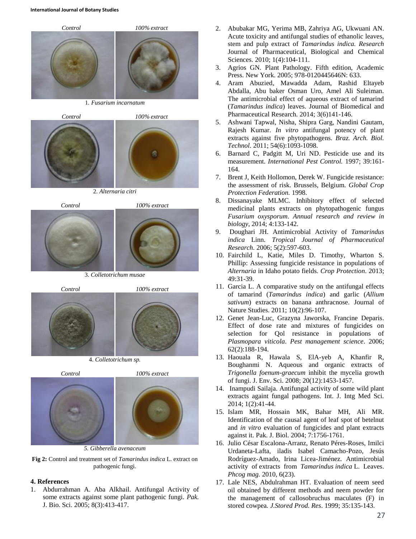

1*. Fusarium incarnatum*



2. *Alternaria citri*



3. *Colletotrichum musae*







*5. Gibberella avenaceum*

**Fig 2:** Control and treatment set of *Tamarindus indica* L. extract on pathogenic fungi.

# **4. References**

1. Abdurrahman A. Aba Alkhail. Antifungal Activity of some extracts against some plant pathogenic fungi. *Pak.*  J. Bio. Sci. 2005; 8(3):413-417.

- 2. Abubakar MG, Yerima MB, Zahriya AG, Ukwuani AN. Acute toxicity and antifungal studies of ethanolic leaves, stem and pulp extract of *Tamarindus indica. Research*  Journal of Pharmaceutical, Biological and Chemical Sciences. 2010; 1(4):104-111.
- 3. Agrios GN. Plant Pathology. Fifth edition, Academic Press. New York. 2005; 978-0120445646N: 633.
- 4. Aram Abuzied, Mawadda Adam, Rashid Eltayeb Abdalla, Abu baker Osman Uro, Amel Ali Suleiman. The antimicrobial effect of aqueous extract of tamarind (*Tamarindus indica*) leaves. Journal of Biomedical and Pharmaceutical Research. 2014; 3(6)141-146.
- 5. Ashwani Tapwal, Nisha, Shipra Garg, Nandini Gautam, Rajesh Kumar. *In vitro* antifungal potency of plant extracts against five phytopathogens. *Braz. Arch. Biol. Technol*. 2011; 54(6):1093-1098.
- 6. Barnard C, Padgitt M, Uri ND. Pesticide use and its measurement. *International Pest Control.* 1997; 39:161- 164.
- 7. Brent J, Keith Hollomon, Derek W. Fungicide resistance: the assessment of risk. Brussels, Belgium. *Global Crop Protection Federation.* 1998.
- 8. Dissanayake MLMC. Inhibitory effect of selected medicinal plants extracts on phytopathogenic fungus *Fusarium oxysporum*. *Annual research and review in biology*, 2014; 4:133-142.
- 9. Doughari JH. Antimicrobial Activity of *Tamarindus indica* Linn. *Tropical Journal of Pharmaceutical Research.* 2006; 5(2):597-603.
- 10. Fairchild L, Katie, Miles D. Timothy, Wharton S. Phillip: Assessing fungicide resistance in populations of *Alternaria* in Idaho potato fields. *Crop Protection*. 2013; 49:31-39.
- 11. Garcia L. A comparative study on the antifungal effects of tamarind (*Tamarindus indica*) and garlic (*Allium sativum*) extracts on banana anthracnose. Journal of Nature Studies. 2011; 10(2):96-107.
- 12. Genet Jean-Luc, Grazyna Jaworska, Francine Deparis. Effect of dose rate and mixtures of fungicides on selection for Qol resistance in populations of *Plasmopara viticola*. *Pest management science*. 2006; 62(2):188-194.
- 13. Haouala R, Hawala S, ElA-yeb A, Khanfir R, Boughanmi N. Aqueous and organic extracts of *Trigonella foenum-graecum* inhibit the mycelia growth of fungi. J. Env. Sci. 2008; 20(12):1453-1457.
- 14. Inampudi Sailaja. Antifungal activity of some wild plant extracts againt fungal pathogens. Int. J. Intg Med Sci*.* 2014; 1(2):41-44.
- 15. Islam MR, Hossain MK, Bahar MH, Ali MR. Identification of the causal agent of leaf spot of betelnut and *in vitro* evaluation of fungicides and plant extracts against it. Pak. J. Biol. 2004; 7:1756-1761.
- 16. Julio César Escalona-Arranz, Renato Péres-Roses, Imilci Urdaneta-Lafta, iladis Isabel Camacho-Pozo, Jesús Rodríguez-Amado, Irina Licea-Jiménez. Antimicrobial activity of extracts from *Tamarindus indica* L. Leaves. *Phcog mag.* 2010, 6(23).
- 17. Lale NES, Abdulrahman HT. Evaluation of neem seed oil obtained by different methods and neem powder for the management of callosobruchus maculates (F) in stored cowpea*. J.Stored Prod. Res*. 1999; 35:135-143.